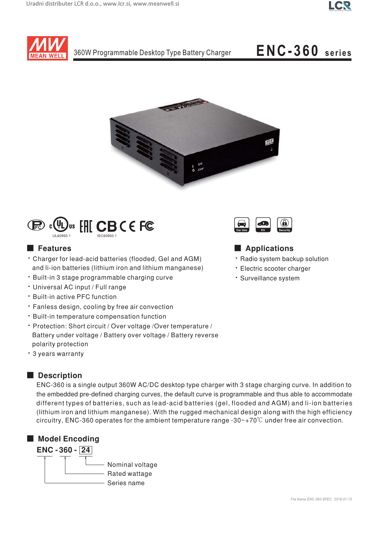



# ENC-360 series





# **E** Features

- Charger for lead-acid batteries (flooded, Gel and AGM) and li-ion batteries (lithium iron and lithium manganese)
- · Built-in 3 stage programmable charging curve
- · Universal AC input / Full range
- \* Built-in active PFC function
- · Fanless design, cooling by free air convection
- · Built-in temperature compensation function
- · Protection: Short circuit / Over voltage / Over temperature / Battery under voltage / Battery over voltage / Battery reverse polarity protection
- \* 3 years warranty

# Description

ENC-360 is a single output 360W AC/DC desktop type charger with 3 stage charging curve. In addition to the embedded pre-defined charging curves, the default curve is programmable and thus able to accommodate different types of batteries, such as lead-acid batteries (gel, flooded and AGM) and li-ion batteries (lithium iron and lithium manganese). With the rugged mechanical design along with the high efficiency circuitry, ENC-360 operates for the ambient temperature range -30 $\sim$ +70 $\degree$ C under free air convection.





### Applications

- · Radio system backup solution
- · Electric scooter charger
- · Surveillance system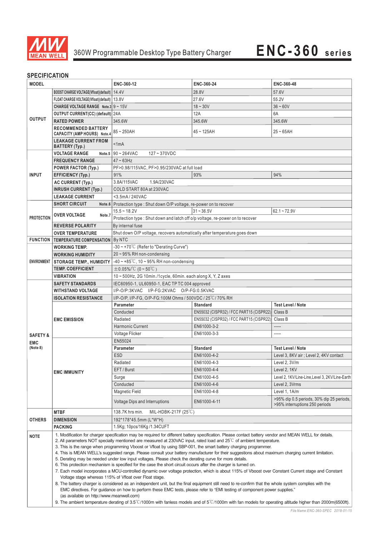

## **SPECIFICATION**

| יוטו ווטם ווט<br><b>MODEL</b>                                                                                                                     |                                                                                                                                                           | ENC-360-12                                                                                                                                                                                                               | ENC-360-24                                                                           | ENC-360-48                                                                  |  |  |  |
|---------------------------------------------------------------------------------------------------------------------------------------------------|-----------------------------------------------------------------------------------------------------------------------------------------------------------|--------------------------------------------------------------------------------------------------------------------------------------------------------------------------------------------------------------------------|--------------------------------------------------------------------------------------|-----------------------------------------------------------------------------|--|--|--|
|                                                                                                                                                   | BOOST CHARGE VOLTAGE(Vfloat)(default)   14.4V                                                                                                             |                                                                                                                                                                                                                          | 28.8V                                                                                | 57.6V                                                                       |  |  |  |
| <b>OUTPUT</b>                                                                                                                                     | FLOAT CHARGE VOLTAGE(Vfloat)(default)   13.8V                                                                                                             |                                                                                                                                                                                                                          | 27.6V                                                                                | 55.2V                                                                       |  |  |  |
|                                                                                                                                                   | <b>CHARGE VOLTAGE RANGE</b> Note.3 $9 \sim 15V$                                                                                                           |                                                                                                                                                                                                                          | $18 - 30V$                                                                           | $36 - 60V$                                                                  |  |  |  |
|                                                                                                                                                   | OUTPUT CURRENT(CC) (default) 24A                                                                                                                          |                                                                                                                                                                                                                          | 12A                                                                                  | 6A                                                                          |  |  |  |
|                                                                                                                                                   | <b>RATED POWER</b>                                                                                                                                        | 345.6W                                                                                                                                                                                                                   | 345.6W                                                                               | 345.6W                                                                      |  |  |  |
|                                                                                                                                                   | <b>RECOMMENDED BATTERY</b>                                                                                                                                |                                                                                                                                                                                                                          |                                                                                      |                                                                             |  |  |  |
|                                                                                                                                                   | <b>CAPACITY (AMP HOURS) Note.4</b><br><b>LEAKAGE CURRENT FROM</b>                                                                                         |                                                                                                                                                                                                                          | $85 - 250$ AH<br>$45 - 125AH$<br>$25 - 65$ AH                                        |                                                                             |  |  |  |
|                                                                                                                                                   | BATTERY (Typ.)                                                                                                                                            | < 1mA                                                                                                                                                                                                                    |                                                                                      |                                                                             |  |  |  |
|                                                                                                                                                   | <b>VOLTAGE RANGE</b>                                                                                                                                      | Note.5 $90 \sim 264$ VAC<br>$127 - 370$ VDC                                                                                                                                                                              |                                                                                      |                                                                             |  |  |  |
|                                                                                                                                                   | <b>FREQUENCY RANGE</b>                                                                                                                                    |                                                                                                                                                                                                                          | $47 - 63$ Hz                                                                         |                                                                             |  |  |  |
|                                                                                                                                                   | <b>POWER FACTOR (Typ.)</b>                                                                                                                                | PF>0.98/115VAC, PF>0.95/230VAC at full load                                                                                                                                                                              |                                                                                      |                                                                             |  |  |  |
| <b>INPUT</b>                                                                                                                                      | <b>EFFICIENCY (Typ.)</b>                                                                                                                                  | 91%                                                                                                                                                                                                                      | 93%                                                                                  | 94%                                                                         |  |  |  |
|                                                                                                                                                   | <b>AC CURRENT (Typ.)</b>                                                                                                                                  | 3.8A/115VAC<br>1.9A/230VAC                                                                                                                                                                                               |                                                                                      |                                                                             |  |  |  |
|                                                                                                                                                   | <b>INRUSH CURRENT (Typ.)</b>                                                                                                                              | COLD START 80A at 230VAC                                                                                                                                                                                                 |                                                                                      |                                                                             |  |  |  |
|                                                                                                                                                   | <b>LEAKAGE CURRENT</b>                                                                                                                                    | <3.5mA/240VAC                                                                                                                                                                                                            |                                                                                      |                                                                             |  |  |  |
|                                                                                                                                                   | <b>SHORT CIRCUIT</b>                                                                                                                                      | Note.6 Protection type : Shut down O/P voltage, re-power on to recover                                                                                                                                                   |                                                                                      |                                                                             |  |  |  |
|                                                                                                                                                   | <b>OVER VOLTAGE</b><br>Note.7                                                                                                                             | $15.5 - 18.2V$<br>$31 - 36.5V$<br>$62.1 - 72.9V$                                                                                                                                                                         |                                                                                      |                                                                             |  |  |  |
| <b>PROTECTION</b>                                                                                                                                 |                                                                                                                                                           | Protection type : Shut down and latch off o/p voltage, re-power on to recover                                                                                                                                            |                                                                                      |                                                                             |  |  |  |
|                                                                                                                                                   | <b>REVERSE POLARITY</b>                                                                                                                                   |                                                                                                                                                                                                                          | By internal fuse                                                                     |                                                                             |  |  |  |
|                                                                                                                                                   | <b>OVER TEMPERATURE</b>                                                                                                                                   | Shut down O/P voltage, recovers automatically after temperature goes down                                                                                                                                                |                                                                                      |                                                                             |  |  |  |
|                                                                                                                                                   | <b>FUNCTION TEMPERATURE COMPENSATION By NTC</b>                                                                                                           |                                                                                                                                                                                                                          |                                                                                      |                                                                             |  |  |  |
|                                                                                                                                                   | <b>WORKING TEMP.</b>                                                                                                                                      | -30 ~ +70°C (Refer to "Derating Curve")                                                                                                                                                                                  |                                                                                      |                                                                             |  |  |  |
|                                                                                                                                                   | <b>WORKING HUMIDITY</b>                                                                                                                                   | 20~95% RH non-condensing                                                                                                                                                                                                 |                                                                                      |                                                                             |  |  |  |
| <b>ENVIRONMENT</b>                                                                                                                                | <b>STORAGE TEMP., HUMIDITY</b>                                                                                                                            | $-40 \sim +85^{\circ}$ C, 10 ~ 95% RH non-condensing                                                                                                                                                                     |                                                                                      |                                                                             |  |  |  |
|                                                                                                                                                   | <b>TEMP. COEFFICIENT</b>                                                                                                                                  | $\pm$ 0.05%/°C (0~50°C)                                                                                                                                                                                                  |                                                                                      |                                                                             |  |  |  |
|                                                                                                                                                   | <b>VIBRATION</b>                                                                                                                                          | 10~500Hz, 2G 10min./1cycle, 60min. each along X, Y, Z axes                                                                                                                                                               |                                                                                      |                                                                             |  |  |  |
|                                                                                                                                                   | <b>SAFETY STANDARDS</b>                                                                                                                                   | IEC60950-1, UL60950-1, EAC TP TC 004 approved                                                                                                                                                                            |                                                                                      |                                                                             |  |  |  |
|                                                                                                                                                   | <b>WITHSTAND VOLTAGE</b>                                                                                                                                  | I/P-O/P:3KVAC I/P-FG:2KVAC O/P-FG:0.5KVAC                                                                                                                                                                                |                                                                                      |                                                                             |  |  |  |
|                                                                                                                                                   | <b>ISOLATION RESISTANCE</b>                                                                                                                               | I/P-O/P, I/P-FG, O/P-FG:100M Ohms / 500VDC / 25 °C / 70% RH<br>Parameter                                                                                                                                                 |                                                                                      |                                                                             |  |  |  |
|                                                                                                                                                   | <b>EMC EMISSION</b>                                                                                                                                       | Conducted                                                                                                                                                                                                                | <b>Standard</b>                                                                      | <b>Test Level / Note</b><br>Class B                                         |  |  |  |
|                                                                                                                                                   |                                                                                                                                                           | Radiated                                                                                                                                                                                                                 | EN55032 (CISPR32) / FCC PART15 (CISPR22)<br>EN55032 (CISPR32) / FCC PART15 (CISPR22) | Class B                                                                     |  |  |  |
|                                                                                                                                                   |                                                                                                                                                           | Harmonic Current                                                                                                                                                                                                         | EN61000-3-2                                                                          | -----                                                                       |  |  |  |
|                                                                                                                                                   |                                                                                                                                                           | Voltage Flicker                                                                                                                                                                                                          | EN61000-3-3                                                                          | -----                                                                       |  |  |  |
| <b>SAFETY &amp;</b>                                                                                                                               |                                                                                                                                                           | EN55024                                                                                                                                                                                                                  |                                                                                      |                                                                             |  |  |  |
| <b>EMC</b><br>(Note 8)                                                                                                                            | <b>EMC IMMUNITY</b>                                                                                                                                       | Parameter                                                                                                                                                                                                                | <b>Standard</b>                                                                      | <b>Test Level / Note</b>                                                    |  |  |  |
|                                                                                                                                                   |                                                                                                                                                           | <b>ESD</b>                                                                                                                                                                                                               | EN61000-4-2                                                                          | Level 3, 8KV air: Level 2, 4KV contact                                      |  |  |  |
|                                                                                                                                                   |                                                                                                                                                           | Radiated                                                                                                                                                                                                                 | EN61000-4-3                                                                          | Level 2, 3V/m                                                               |  |  |  |
|                                                                                                                                                   |                                                                                                                                                           | EFT / Burst                                                                                                                                                                                                              | EN61000-4-4                                                                          | Level 2, 1KV                                                                |  |  |  |
|                                                                                                                                                   |                                                                                                                                                           | Surge                                                                                                                                                                                                                    | EN61000-4-5                                                                          | Level 2, 1KV/Line-Line, Level 3, 2KV/Line-Earth                             |  |  |  |
|                                                                                                                                                   |                                                                                                                                                           | Conducted                                                                                                                                                                                                                | EN61000-4-6                                                                          | Level 2, 3Vrms                                                              |  |  |  |
|                                                                                                                                                   |                                                                                                                                                           | <b>Magnetic Field</b>                                                                                                                                                                                                    | EN61000-4-8                                                                          | Level 1, 1A/m                                                               |  |  |  |
|                                                                                                                                                   |                                                                                                                                                           | Voltage Dips and Interruptions                                                                                                                                                                                           | EN61000-4-11                                                                         | >95% dip 0.5 periods, 30% dip 25 periods,<br>>95% interruptions 250 periods |  |  |  |
| OTHERS                                                                                                                                            | <b>MTBF</b>                                                                                                                                               | 138.7K hrs min.<br>MIL-HDBK-217F $(25^{\circ}\text{C})$                                                                                                                                                                  |                                                                                      |                                                                             |  |  |  |
|                                                                                                                                                   | <b>DIMENSION</b>                                                                                                                                          | 192*178*45.5mm (L*W*H)                                                                                                                                                                                                   |                                                                                      |                                                                             |  |  |  |
|                                                                                                                                                   | <b>PACKING</b>                                                                                                                                            | 1.5Kg; 10pcs/16Kg /1.34CUFT                                                                                                                                                                                              |                                                                                      |                                                                             |  |  |  |
|                                                                                                                                                   |                                                                                                                                                           | 1. Modification for charger specification may be required for different battery specification. Please contact battery vendor and MEAN WELL for details.                                                                  |                                                                                      |                                                                             |  |  |  |
| <b>NOTE</b>                                                                                                                                       |                                                                                                                                                           | 2. All parameters NOT specially mentioned are measured at 230VAC input, rated load and 25°C of ambient temperature.                                                                                                      |                                                                                      |                                                                             |  |  |  |
|                                                                                                                                                   |                                                                                                                                                           | 3. This is the range when programming Vboost or Vfloat by using SBP-001, the smart battery charging programmer.                                                                                                          |                                                                                      |                                                                             |  |  |  |
| 4. This is MEAN WELL's suggested range. Please consult your battery manufacturer for their suggestions about maximum charging current limitation. |                                                                                                                                                           |                                                                                                                                                                                                                          |                                                                                      |                                                                             |  |  |  |
|                                                                                                                                                   |                                                                                                                                                           | 5. Derating may be needed under low input voltages. Please check the derating curve for more details.<br>6. This protection mechanism is specified for the case the short circuit occurs after the charger is turned on. |                                                                                      |                                                                             |  |  |  |
|                                                                                                                                                   |                                                                                                                                                           | 7. Each model incorporates a MCU-controlled dynamic over voltage protection, which is about 115% of Vboost over Constant Current stage and Constant                                                                      |                                                                                      |                                                                             |  |  |  |
|                                                                                                                                                   |                                                                                                                                                           | Voltage stage whereas 115% of Vfloat over Float stage.                                                                                                                                                                   |                                                                                      |                                                                             |  |  |  |
|                                                                                                                                                   |                                                                                                                                                           | 8. The battery charger is considered as an independent unit, but the final equipment still need to re-confirm that the whole system complies with the                                                                    |                                                                                      |                                                                             |  |  |  |
|                                                                                                                                                   |                                                                                                                                                           | EMC directives. For guidance on how to perform these EMC tests, please refer to "EMI testing of component power supplies."                                                                                               |                                                                                      |                                                                             |  |  |  |
|                                                                                                                                                   | (as available on http://www.meanwell.com)                                                                                                                 |                                                                                                                                                                                                                          |                                                                                      |                                                                             |  |  |  |
|                                                                                                                                                   | 9. The ambient temperature derating of 3.5°C/1000m with fanless models and of 5°C/1000m with fan models for operating altitude higher than 2000m(6500ft). |                                                                                                                                                                                                                          |                                                                                      |                                                                             |  |  |  |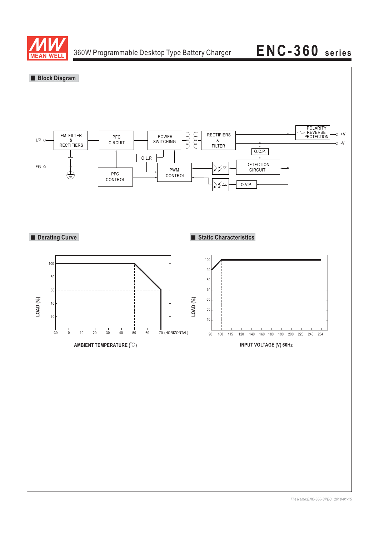

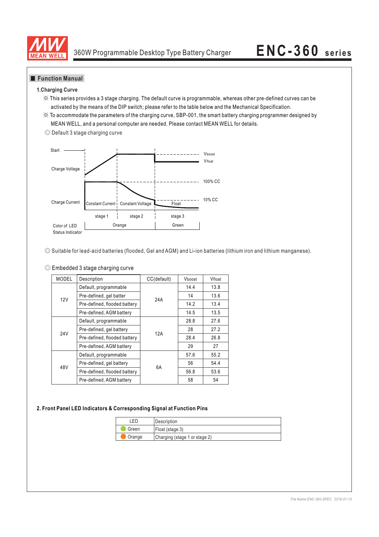

### **Function Manual**

### **1.Charging Curve**

- ※ This series provides a 3 stage charging. The default curve is programmable, whereas other pre-defined curves can be activated by the means of the DIP switch; please refer to the table below and the Mechanical Specification.
- ※ To accommodate the parameters of the charging curve, SBP-001, the smart battery charging programmer designed by MEAN WELL, and a personal computer are needed. Please contact MEAN WELL for details.





◎ Suitable for lead-acid batteries (flooded, Gel and AGM) and Li-ion batteries (lithium iron and lithium manganese).

| C Embedded 3 stage charging curve |
|-----------------------------------|
|-----------------------------------|

| <b>MODEL</b>    | Description                  | CC(default) | Vboost | Vfloat |
|-----------------|------------------------------|-------------|--------|--------|
|                 | Default, programmable        |             | 14.4   | 13.8   |
| 12V             | Pre-defined, gel batter      | 24A         | 14     | 13.6   |
|                 | Pre-defined, flooded battery |             | 14.2   | 13.4   |
|                 | Pre-defined, AGM battery     |             | 14.5   | 13.5   |
|                 | Default, programmable        |             | 28.8   | 27.6   |
| 24 <sub>V</sub> | Pre-defined, gel battery     | 12A         | 28     | 27.2   |
|                 | Pre-defined, flooded battery |             | 28.4   | 26.8   |
|                 | Pre-defined, AGM battery     |             | 29     | 27     |
|                 | Default, programmable        | 6A          | 57.6   | 55.2   |
| 48V             | Pre-defined, gel battery     |             | 56     | 54.4   |
|                 | Pre-defined, flooded battery |             | 56.8   | 53.6   |
|                 | Pre-defined, AGM battery     |             | 58     | 54     |

### **2. Front Panel LED Indicators & Corresponding Signal at Function Pins**

| FD.    | Description                   |  |
|--------|-------------------------------|--|
| Green  | Float (stage 3)               |  |
| Orange | Charging (stage 1 or stage 2) |  |